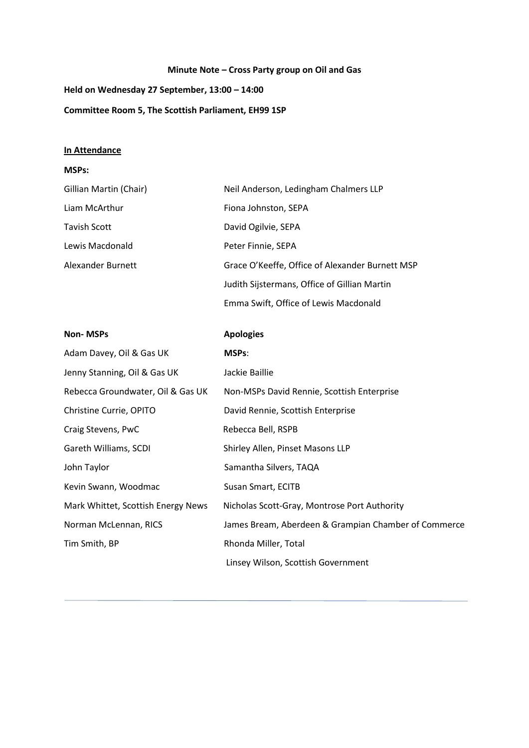## **Minute Note – Cross Party group on Oil and Gas**

**Held on Wednesday 27 September, 13:00 – 14:00**

**Committee Room 5, The Scottish Parliament, EH99 1SP**

## **In Attendance**

## **MSPs:**

| Gillian Martin (Chair) | Neil Anderson, Ledingham Chalmers LLP           |
|------------------------|-------------------------------------------------|
| Liam McArthur          | Fiona Johnston, SEPA                            |
| Tavish Scott           | David Ogilvie, SEPA                             |
| Lewis Macdonald        | Peter Finnie, SEPA                              |
| Alexander Burnett      | Grace O'Keeffe, Office of Alexander Burnett MSP |
|                        | Judith Sijstermans, Office of Gillian Martin    |
|                        | Emma Swift, Office of Lewis Macdonald           |

| <b>Non-MSPs</b>                    | <b>Apologies</b>                                     |
|------------------------------------|------------------------------------------------------|
| Adam Davey, Oil & Gas UK           | <b>MSPs:</b>                                         |
| Jenny Stanning, Oil & Gas UK       | Jackie Baillie                                       |
| Rebecca Groundwater, Oil & Gas UK  | Non-MSPs David Rennie, Scottish Enterprise           |
| Christine Currie, OPITO            | David Rennie, Scottish Enterprise                    |
| Craig Stevens, PwC                 | Rebecca Bell, RSPB                                   |
| Gareth Williams, SCDI              | Shirley Allen, Pinset Masons LLP                     |
| John Taylor                        | Samantha Silvers, TAQA                               |
| Kevin Swann, Woodmac               | Susan Smart, ECITB                                   |
| Mark Whittet, Scottish Energy News | Nicholas Scott-Gray, Montrose Port Authority         |
| Norman McLennan, RICS              | James Bream, Aberdeen & Grampian Chamber of Commerce |
| Tim Smith, BP                      | Rhonda Miller, Total                                 |
|                                    | Linsey Wilson, Scottish Government                   |